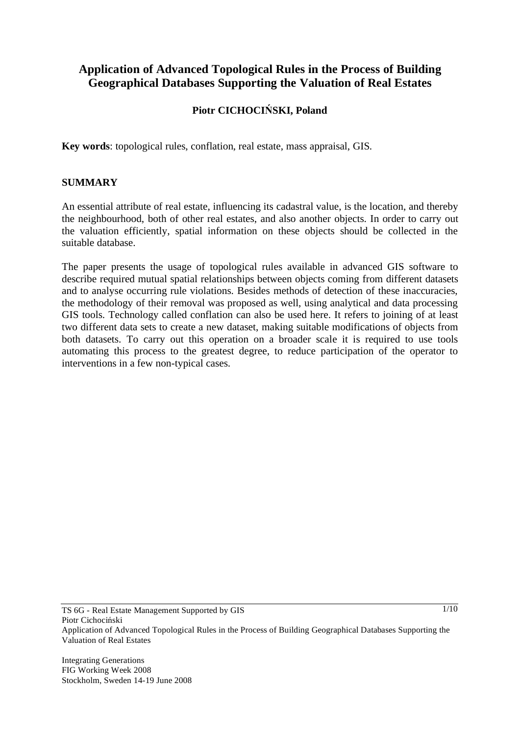# **Application of Advanced Topological Rules in the Process of Building Geographical Databases Supporting the Valuation of Real Estates**

# **Piotr CICHOCISKI, Poland**

**Key words**: topological rules, conflation, real estate, mass appraisal, GIS.

#### **SUMMARY**

An essential attribute of real estate, influencing its cadastral value, is the location, and thereby the neighbourhood, both of other real estates, and also another objects. In order to carry out the valuation efficiently, spatial information on these objects should be collected in the suitable database.

The paper presents the usage of topological rules available in advanced GIS software to describe required mutual spatial relationships between objects coming from different datasets and to analyse occurring rule violations. Besides methods of detection of these inaccuracies, the methodology of their removal was proposed as well, using analytical and data processing GIS tools. Technology called conflation can also be used here. It refers to joining of at least two different data sets to create a new dataset, making suitable modifications of objects from both datasets. To carry out this operation on a broader scale it is required to use tools automating this process to the greatest degree, to reduce participation of the operator to interventions in a few non-typical cases.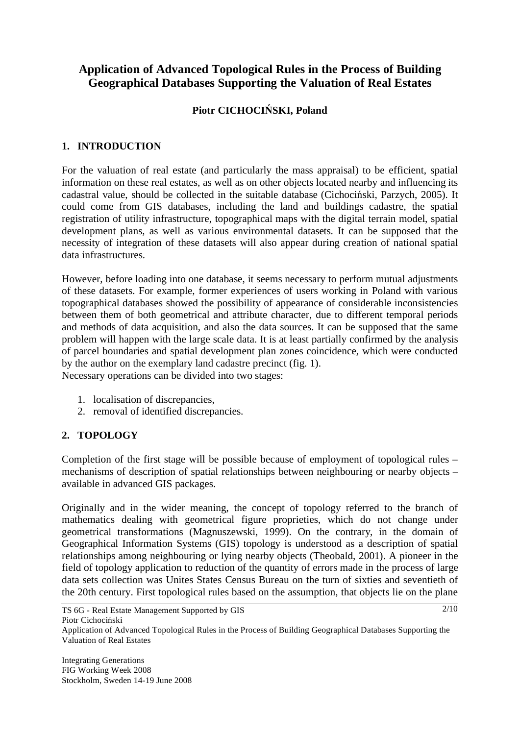# **Application of Advanced Topological Rules in the Process of Building Geographical Databases Supporting the Valuation of Real Estates**

# **Piotr CICHOCISKI, Poland**

### **1. INTRODUCTION**

For the valuation of real estate (and particularly the mass appraisal) to be efficient, spatial information on these real estates, as well as on other objects located nearby and influencing its cadastral value, should be collected in the suitable database (Cichociński, Parzych, 2005). It could come from GIS databases, including the land and buildings cadastre, the spatial registration of utility infrastructure, topographical maps with the digital terrain model, spatial development plans, as well as various environmental datasets. It can be supposed that the necessity of integration of these datasets will also appear during creation of national spatial data infrastructures.

However, before loading into one database, it seems necessary to perform mutual adjustments of these datasets. For example, former experiences of users working in Poland with various topographical databases showed the possibility of appearance of considerable inconsistencies between them of both geometrical and attribute character, due to different temporal periods and methods of data acquisition, and also the data sources. It can be supposed that the same problem will happen with the large scale data. It is at least partially confirmed by the analysis of parcel boundaries and spatial development plan zones coincidence, which were conducted by the author on the exemplary land cadastre precinct (fig. 1).

Necessary operations can be divided into two stages:

- 1. localisation of discrepancies,
- 2. removal of identified discrepancies.

# **2. TOPOLOGY**

Completion of the first stage will be possible because of employment of topological rules – mechanisms of description of spatial relationships between neighbouring or nearby objects – available in advanced GIS packages.

Originally and in the wider meaning, the concept of topology referred to the branch of mathematics dealing with geometrical figure proprieties, which do not change under geometrical transformations (Magnuszewski, 1999). On the contrary, in the domain of Geographical Information Systems (GIS) topology is understood as a description of spatial relationships among neighbouring or lying nearby objects (Theobald, 2001). A pioneer in the field of topology application to reduction of the quantity of errors made in the process of large data sets collection was Unites States Census Bureau on the turn of sixties and seventieth of the 20th century. First topological rules based on the assumption, that objects lie on the plane

Application of Advanced Topological Rules in the Process of Building Geographical Databases Supporting the Valuation of Real Estates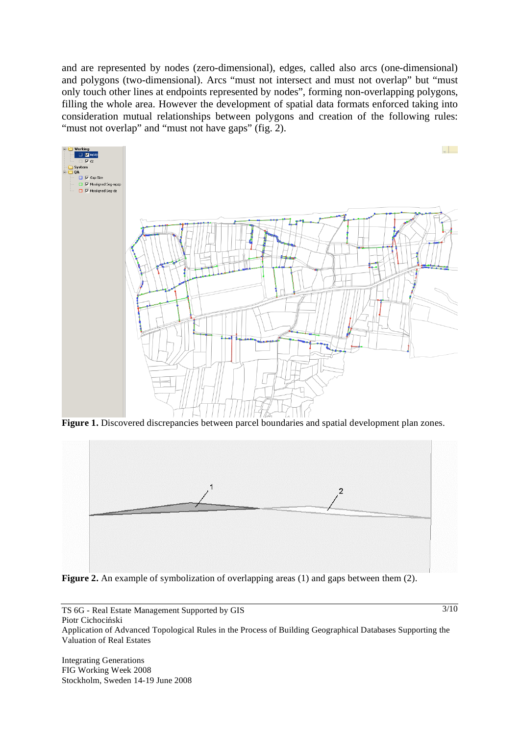and are represented by nodes (zero-dimensional), edges, called also arcs (one-dimensional) and polygons (two-dimensional). Arcs "must not intersect and must not overlap" but "must only touch other lines at endpoints represented by nodes", forming non-overlapping polygons, filling the whole area. However the development of spatial data formats enforced taking into consideration mutual relationships between polygons and creation of the following rules: "must not overlap" and "must not have gaps" (fig. 2).



**Figure 1.** Discovered discrepancies between parcel boundaries and spatial development plan zones.



**Figure 2.** An example of symbolization of overlapping areas (1) and gaps between them (2).

TS 6G - Real Estate Management Supported by GIS Piotr Cichociński Application of Advanced Topological Rules in the Process of Building Geographical Databases Supporting the Valuation of Real Estates

Integrating Generations FIG Working Week 2008 Stockholm, Sweden 14-19 June 2008  $3/10$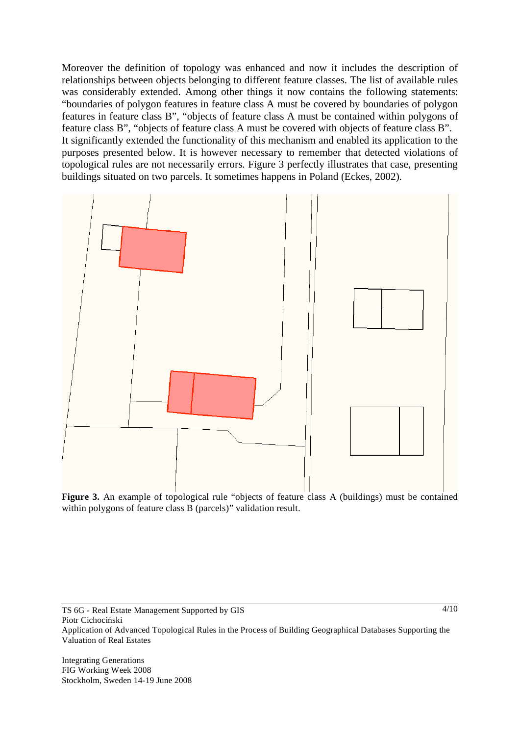Moreover the definition of topology was enhanced and now it includes the description of relationships between objects belonging to different feature classes. The list of available rules was considerably extended. Among other things it now contains the following statements: "boundaries of polygon features in feature class A must be covered by boundaries of polygon features in feature class B", "objects of feature class A must be contained within polygons of feature class B", "objects of feature class A must be covered with objects of feature class B". It significantly extended the functionality of this mechanism and enabled its application to the purposes presented below. It is however necessary to remember that detected violations of topological rules are not necessarily errors. Figure 3 perfectly illustrates that case, presenting buildings situated on two parcels. It sometimes happens in Poland (Eckes, 2002).



Figure 3. An example of topological rule "objects of feature class A (buildings) must be contained within polygons of feature class B (parcels)" validation result.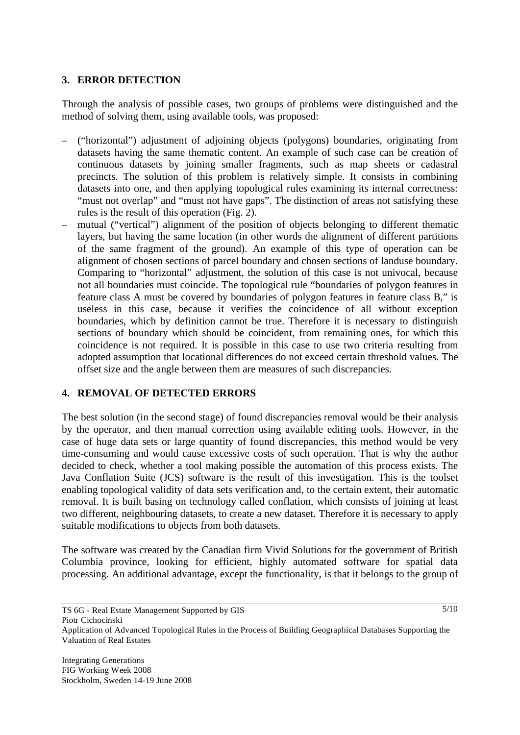### **3. ERROR DETECTION**

Through the analysis of possible cases, two groups of problems were distinguished and the method of solving them, using available tools, was proposed:

- ("horizontal") adjustment of adjoining objects (polygons) boundaries, originating from datasets having the same thematic content. An example of such case can be creation of continuous datasets by joining smaller fragments, such as map sheets or cadastral precincts. The solution of this problem is relatively simple. It consists in combining datasets into one, and then applying topological rules examining its internal correctness: "must not overlap" and "must not have gaps". The distinction of areas not satisfying these rules is the result of this operation (Fig. 2).
- mutual ("vertical") alignment of the position of objects belonging to different thematic layers, but having the same location (in other words the alignment of different partitions of the same fragment of the ground). An example of this type of operation can be alignment of chosen sections of parcel boundary and chosen sections of landuse boundary. Comparing to "horizontal" adjustment, the solution of this case is not univocal, because not all boundaries must coincide. The topological rule "boundaries of polygon features in feature class A must be covered by boundaries of polygon features in feature class B," is useless in this case, because it verifies the coincidence of all without exception boundaries, which by definition cannot be true. Therefore it is necessary to distinguish sections of boundary which should be coincident, from remaining ones, for which this coincidence is not required. It is possible in this case to use two criteria resulting from adopted assumption that locational differences do not exceed certain threshold values. The offset size and the angle between them are measures of such discrepancies.

### **4. REMOVAL OF DETECTED ERRORS**

The best solution (in the second stage) of found discrepancies removal would be their analysis by the operator, and then manual correction using available editing tools. However, in the case of huge data sets or large quantity of found discrepancies, this method would be very time-consuming and would cause excessive costs of such operation. That is why the author decided to check, whether a tool making possible the automation of this process exists. The Java Conflation Suite (JCS) software is the result of this investigation. This is the toolset enabling topological validity of data sets verification and, to the certain extent, their automatic removal. It is built basing on technology called conflation, which consists of joining at least two different, neighbouring datasets, to create a new dataset. Therefore it is necessary to apply suitable modifications to objects from both datasets.

The software was created by the Canadian firm Vivid Solutions for the government of British Columbia province, looking for efficient, highly automated software for spatial data processing. An additional advantage, except the functionality, is that it belongs to the group of

Piotr Cichociński

 $\frac{5}{10}$ 

TS 6G - Real Estate Management Supported by GIS

Application of Advanced Topological Rules in the Process of Building Geographical Databases Supporting the Valuation of Real Estates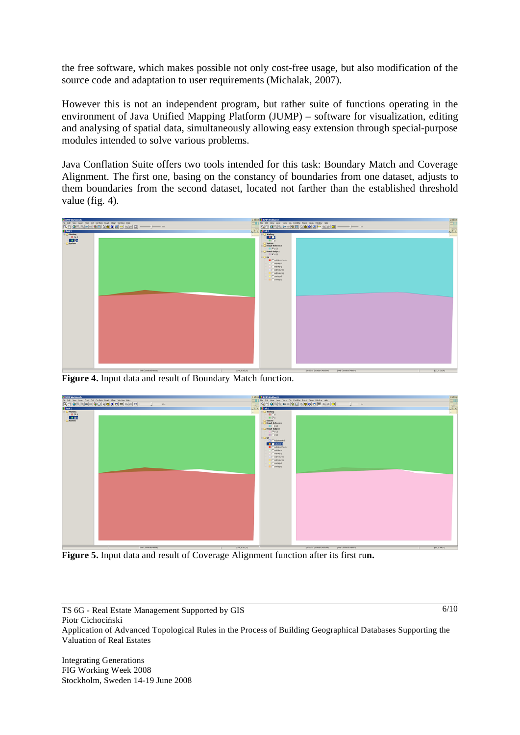the free software, which makes possible not only cost-free usage, but also modification of the source code and adaptation to user requirements (Michalak, 2007).

However this is not an independent program, but rather suite of functions operating in the environment of Java Unified Mapping Platform (JUMP) – software for visualization, editing and analysing of spatial data, simultaneously allowing easy extension through special-purpose modules intended to solve various problems.

Java Conflation Suite offers two tools intended for this task: Boundary Match and Coverage Alignment. The first one, basing on the constancy of boundaries from one dataset, adjusts to them boundaries from the second dataset, located not farther than the established threshold value (fig. 4).



**Figure 4.** Input data and result of Boundary Match function.



**Figure 5.** Input data and result of Coverage Alignment function after its first ru**n.** 

TS 6G - Real Estate Management Supported by GIS Piotr Cichociński Application of Advanced Topological Rules in the Process of Building Geographical Databases Supporting the Valuation of Real Estates

Integrating Generations FIG Working Week 2008 Stockholm, Sweden 14-19 June 2008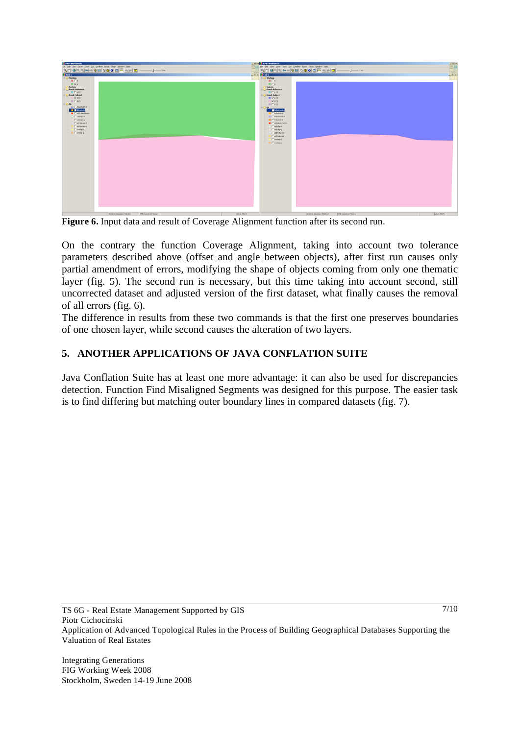

**Figure 6.** Input data and result of Coverage Alignment function after its second run.

On the contrary the function Coverage Alignment, taking into account two tolerance parameters described above (offset and angle between objects), after first run causes only partial amendment of errors, modifying the shape of objects coming from only one thematic layer (fig. 5). The second run is necessary, but this time taking into account second, still uncorrected dataset and adjusted version of the first dataset, what finally causes the removal of all errors (fig. 6).

The difference in results from these two commands is that the first one preserves boundaries of one chosen layer, while second causes the alteration of two layers.

# **5. ANOTHER APPLICATIONS OF JAVA CONFLATION SUITE**

Java Conflation Suite has at least one more advantage: it can also be used for discrepancies detection. Function Find Misaligned Segments was designed for this purpose. The easier task is to find differing but matching outer boundary lines in compared datasets (fig. 7).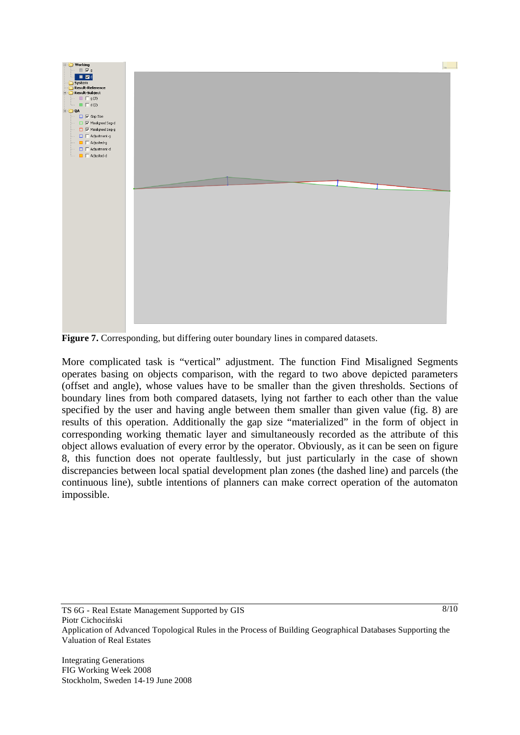

Figure 7. Corresponding, but differing outer boundary lines in compared datasets.

More complicated task is "vertical" adjustment. The function Find Misaligned Segments operates basing on objects comparison, with the regard to two above depicted parameters (offset and angle), whose values have to be smaller than the given thresholds. Sections of boundary lines from both compared datasets, lying not farther to each other than the value specified by the user and having angle between them smaller than given value (fig. 8) are results of this operation. Additionally the gap size "materialized" in the form of object in corresponding working thematic layer and simultaneously recorded as the attribute of this object allows evaluation of every error by the operator. Obviously, as it can be seen on figure 8, this function does not operate faultlessly, but just particularly in the case of shown discrepancies between local spatial development plan zones (the dashed line) and parcels (the continuous line), subtle intentions of planners can make correct operation of the automaton impossible.

TS 6G - Real Estate Management Supported by GIS Piotr Cichociński Application of Advanced Topological Rules in the Process of Building Geographical Databases Supporting the Valuation of Real Estates

 $8/10$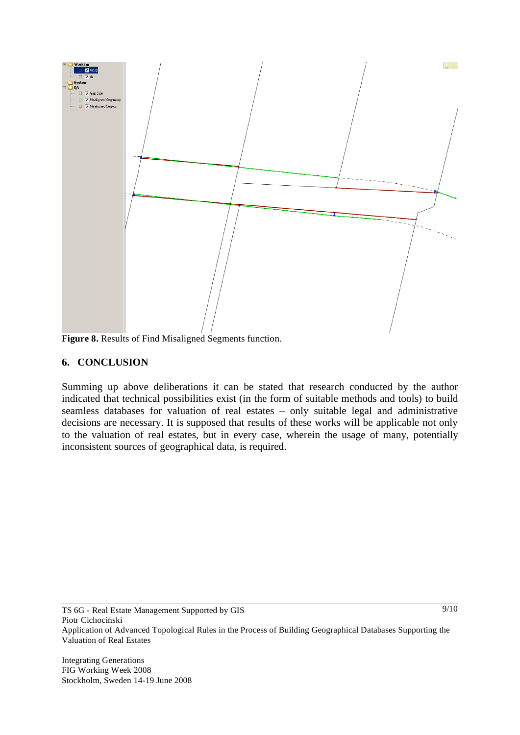

**Figure 8.** Results of Find Misaligned Segments function.

#### **6. CONCLUSION**

Summing up above deliberations it can be stated that research conducted by the author indicated that technical possibilities exist (in the form of suitable methods and tools) to build seamless databases for valuation of real estates – only suitable legal and administrative decisions are necessary. It is supposed that results of these works will be applicable not only to the valuation of real estates, but in every case, wherein the usage of many, potentially inconsistent sources of geographical data, is required.

 $\frac{9}{10}$